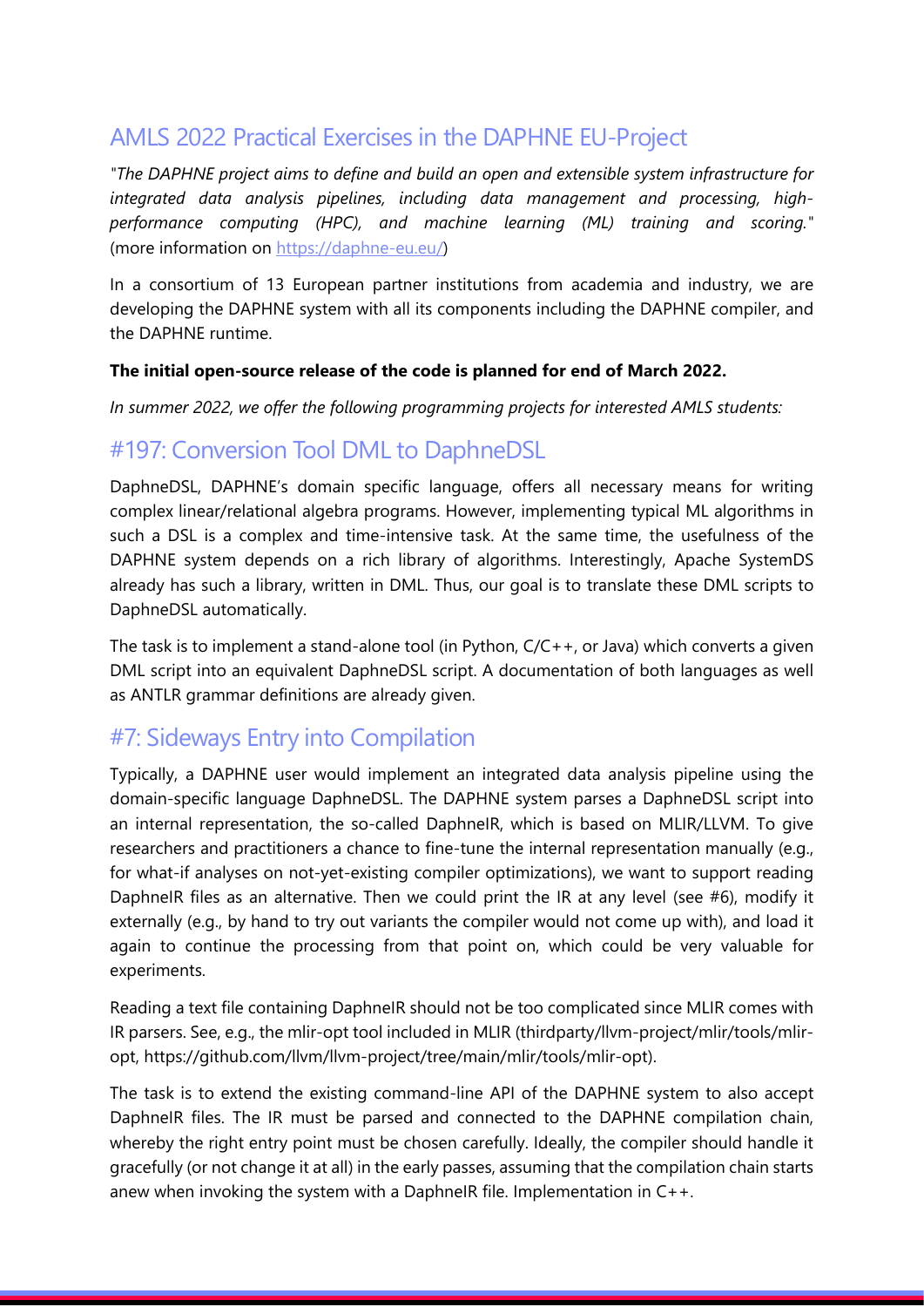### AMLS 2022 Practical Exercises in the DAPHNE EU-Project

*"The DAPHNE project aims to define and build an open and extensible system infrastructure for integrated data analysis pipelines, including data management and processing, highperformance computing (HPC), and machine learning (ML) training and scoring."* (more information on [https://daphne-eu.eu/\)](https://daphne-eu.eu/)

In a consortium of 13 European partner institutions from academia and industry, we are developing the DAPHNE system with all its components including the DAPHNE compiler, and the DAPHNE runtime.

#### **The initial open-source release of the code is planned for end of March 2022.**

*In summer 2022, we offer the following programming projects for interested AMLS students:*

### #197: Conversion Tool DML to DaphneDSL

DaphneDSL, DAPHNE's domain specific language, offers all necessary means for writing complex linear/relational algebra programs. However, implementing typical ML algorithms in such a DSL is a complex and time-intensive task. At the same time, the usefulness of the DAPHNE system depends on a rich library of algorithms. Interestingly, Apache SystemDS already has such a library, written in DML. Thus, our goal is to translate these DML scripts to DaphneDSL automatically.

The task is to implement a stand-alone tool (in Python, C/C++, or Java) which converts a given DML script into an equivalent DaphneDSL script. A documentation of both languages as well as ANTLR grammar definitions are already given.

### #7: Sideways Entry into Compilation

Typically, a DAPHNE user would implement an integrated data analysis pipeline using the domain-specific language DaphneDSL. The DAPHNE system parses a DaphneDSL script into an internal representation, the so-called DaphneIR, which is based on MLIR/LLVM. To give researchers and practitioners a chance to fine-tune the internal representation manually (e.g., for what-if analyses on not-yet-existing compiler optimizations), we want to support reading DaphneIR files as an alternative. Then we could print the IR at any level (see #6), modify it externally (e.g., by hand to try out variants the compiler would not come up with), and load it again to continue the processing from that point on, which could be very valuable for experiments.

Reading a text file containing DaphneIR should not be too complicated since MLIR comes with IR parsers. See, e.g., the mlir-opt tool included in MLIR (thirdparty/llvm-project/mlir/tools/mliropt, https://github.com/llvm/llvm-project/tree/main/mlir/tools/mlir-opt).

The task is to extend the existing command-line API of the DAPHNE system to also accept DaphneIR files. The IR must be parsed and connected to the DAPHNE compilation chain, whereby the right entry point must be chosen carefully. Ideally, the compiler should handle it gracefully (or not change it at all) in the early passes, assuming that the compilation chain starts anew when invoking the system with a DaphneIR file. Implementation in C++.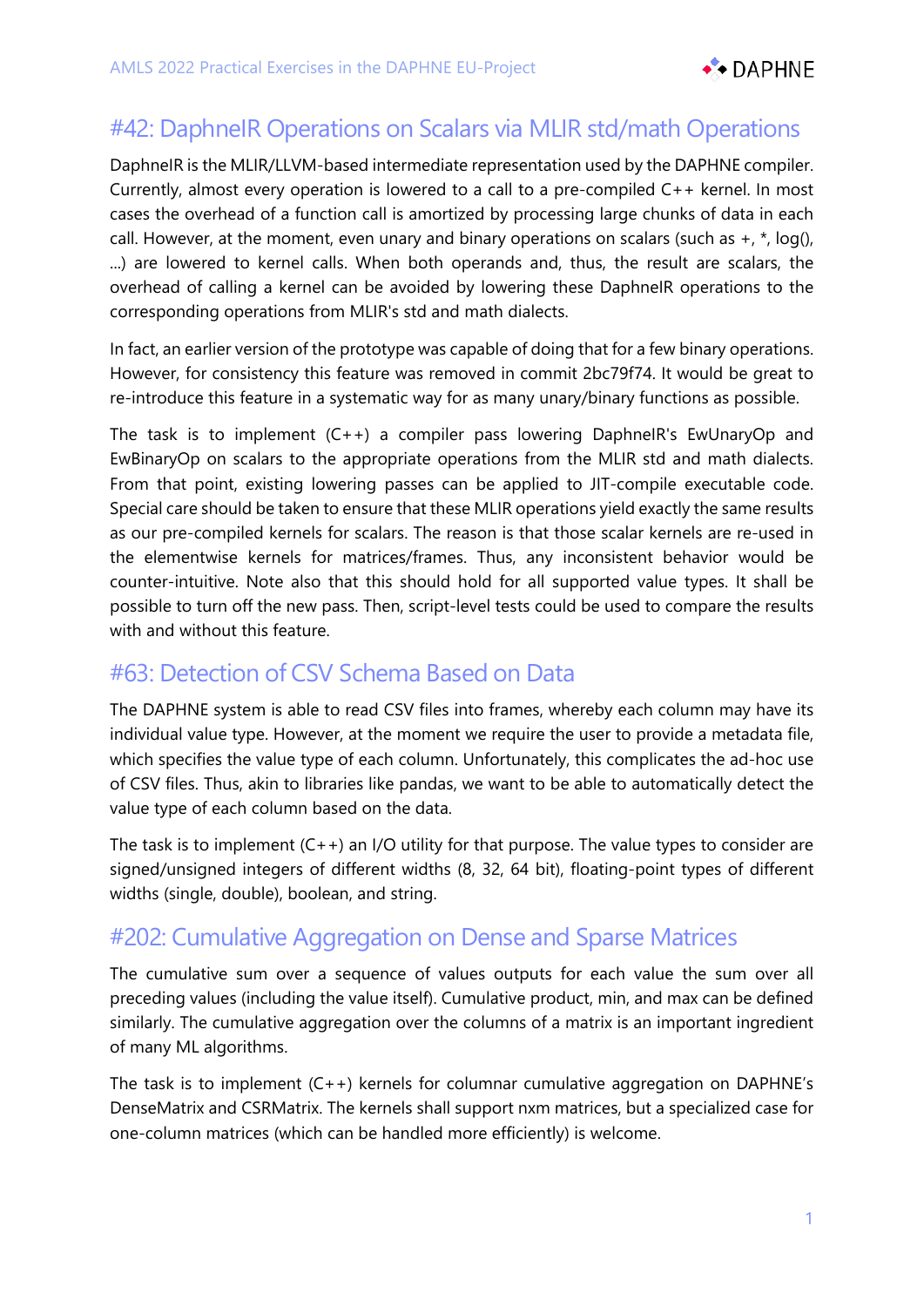

# #42: DaphneIR Operations on Scalars via MLIR std/math Operations

DaphneIR is the MLIR/LLVM-based intermediate representation used by the DAPHNE compiler. Currently, almost every operation is lowered to a call to a pre-compiled C++ kernel. In most cases the overhead of a function call is amortized by processing large chunks of data in each call. However, at the moment, even unary and binary operations on scalars (such as  $+$ ,  $*$ , log(), ...) are lowered to kernel calls. When both operands and, thus, the result are scalars, the overhead of calling a kernel can be avoided by lowering these DaphneIR operations to the corresponding operations from MLIR's std and math dialects.

In fact, an earlier version of the prototype was capable of doing that for a few binary operations. However, for consistency this feature was removed in commit 2bc79f74. It would be great to re-introduce this feature in a systematic way for as many unary/binary functions as possible.

The task is to implement (C++) a compiler pass lowering DaphneIR's EwUnaryOp and EwBinaryOp on scalars to the appropriate operations from the MLIR std and math dialects. From that point, existing lowering passes can be applied to JIT-compile executable code. Special care should be taken to ensure that these MLIR operations yield exactly the same results as our pre-compiled kernels for scalars. The reason is that those scalar kernels are re-used in the elementwise kernels for matrices/frames. Thus, any inconsistent behavior would be counter-intuitive. Note also that this should hold for all supported value types. It shall be possible to turn off the new pass. Then, script-level tests could be used to compare the results with and without this feature.

# #63: Detection of CSV Schema Based on Data

The DAPHNE system is able to read CSV files into frames, whereby each column may have its individual value type. However, at the moment we require the user to provide a metadata file, which specifies the value type of each column. Unfortunately, this complicates the ad-hoc use of CSV files. Thus, akin to libraries like pandas, we want to be able to automatically detect the value type of each column based on the data.

The task is to implement  $(C + +)$  an I/O utility for that purpose. The value types to consider are signed/unsigned integers of different widths (8, 32, 64 bit), floating-point types of different widths (single, double), boolean, and string.

### #202: Cumulative Aggregation on Dense and Sparse Matrices

The cumulative sum over a sequence of values outputs for each value the sum over all preceding values (including the value itself). Cumulative product, min, and max can be defined similarly. The cumulative aggregation over the columns of a matrix is an important ingredient of many ML algorithms.

The task is to implement (C++) kernels for columnar cumulative aggregation on DAPHNE's DenseMatrix and CSRMatrix. The kernels shall support nxm matrices, but a specialized case for one-column matrices (which can be handled more efficiently) is welcome.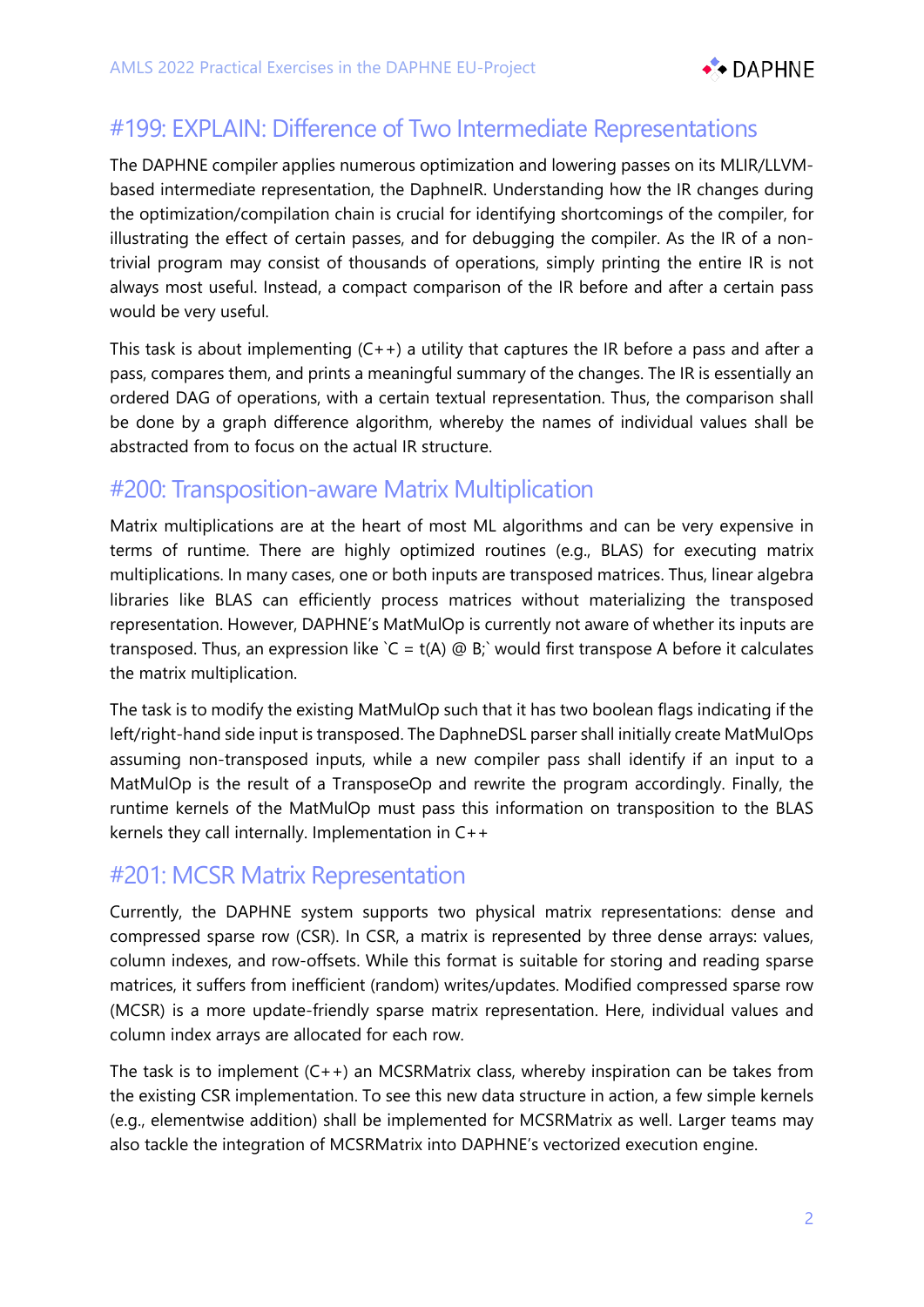

# #199: EXPLAIN: Difference of Two Intermediate Representations

The DAPHNE compiler applies numerous optimization and lowering passes on its MLIR/LLVMbased intermediate representation, the DaphneIR. Understanding how the IR changes during the optimization/compilation chain is crucial for identifying shortcomings of the compiler, for illustrating the effect of certain passes, and for debugging the compiler. As the IR of a nontrivial program may consist of thousands of operations, simply printing the entire IR is not always most useful. Instead, a compact comparison of the IR before and after a certain pass would be very useful.

This task is about implementing  $(C + 1)$  a utility that captures the IR before a pass and after a pass, compares them, and prints a meaningful summary of the changes. The IR is essentially an ordered DAG of operations, with a certain textual representation. Thus, the comparison shall be done by a graph difference algorithm, whereby the names of individual values shall be abstracted from to focus on the actual IR structure.

### #200: Transposition-aware Matrix Multiplication

Matrix multiplications are at the heart of most ML algorithms and can be very expensive in terms of runtime. There are highly optimized routines (e.g., BLAS) for executing matrix multiplications. In many cases, one or both inputs are transposed matrices. Thus, linear algebra libraries like BLAS can efficiently process matrices without materializing the transposed representation. However, DAPHNE's MatMulOp is currently not aware of whether its inputs are transposed. Thus, an expression like  $C = t(A) \text{ } \textcircled{B}$ ; would first transpose A before it calculates the matrix multiplication.

The task is to modify the existing MatMulOp such that it has two boolean flags indicating if the left/right-hand side input is transposed. The DaphneDSL parser shall initially create MatMulOps assuming non-transposed inputs, while a new compiler pass shall identify if an input to a MatMulOp is the result of a TransposeOp and rewrite the program accordingly. Finally, the runtime kernels of the MatMulOp must pass this information on transposition to the BLAS kernels they call internally. Implementation in C++

#### #201: MCSR Matrix Representation

Currently, the DAPHNE system supports two physical matrix representations: dense and compressed sparse row (CSR). In CSR, a matrix is represented by three dense arrays: values, column indexes, and row-offsets. While this format is suitable for storing and reading sparse matrices, it suffers from inefficient (random) writes/updates. Modified compressed sparse row (MCSR) is a more update-friendly sparse matrix representation. Here, individual values and column index arrays are allocated for each row.

The task is to implement (C++) an MCSRMatrix class, whereby inspiration can be takes from the existing CSR implementation. To see this new data structure in action, a few simple kernels (e.g., elementwise addition) shall be implemented for MCSRMatrix as well. Larger teams may also tackle the integration of MCSRMatrix into DAPHNE's vectorized execution engine.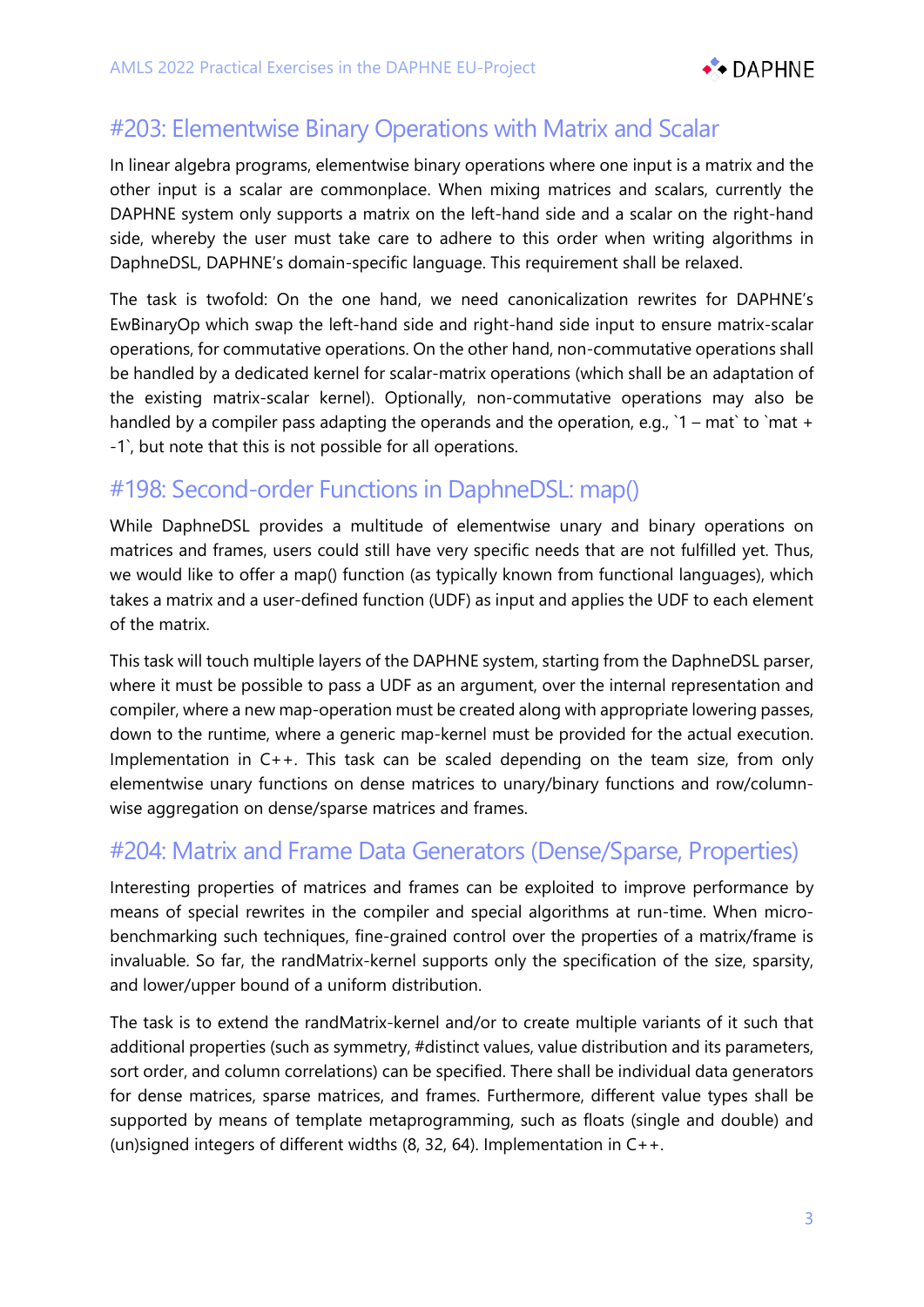

## #203: Elementwise Binary Operations with Matrix and Scalar

In linear algebra programs, elementwise binary operations where one input is a matrix and the other input is a scalar are commonplace. When mixing matrices and scalars, currently the DAPHNE system only supports a matrix on the left-hand side and a scalar on the right-hand side, whereby the user must take care to adhere to this order when writing algorithms in DaphneDSL, DAPHNE's domain-specific language. This requirement shall be relaxed.

The task is twofold: On the one hand, we need canonicalization rewrites for DAPHNE's EwBinaryOp which swap the left-hand side and right-hand side input to ensure matrix-scalar operations, for commutative operations. On the other hand, non-commutative operations shall be handled by a dedicated kernel for scalar-matrix operations (which shall be an adaptation of the existing matrix-scalar kernel). Optionally, non-commutative operations may also be handled by a compiler pass adapting the operands and the operation, e.g.,  $1 - \text{mat}$  to  $\text{mat} +$ -1`, but note that this is not possible for all operations.

### #198: Second-order Functions in DaphneDSL: map()

While DaphneDSL provides a multitude of elementwise unary and binary operations on matrices and frames, users could still have very specific needs that are not fulfilled yet. Thus, we would like to offer a map() function (as typically known from functional languages), which takes a matrix and a user-defined function (UDF) as input and applies the UDF to each element of the matrix.

This task will touch multiple layers of the DAPHNE system, starting from the DaphneDSL parser, where it must be possible to pass a UDF as an argument, over the internal representation and compiler, where a new map-operation must be created along with appropriate lowering passes, down to the runtime, where a generic map-kernel must be provided for the actual execution. Implementation in C++. This task can be scaled depending on the team size, from only elementwise unary functions on dense matrices to unary/binary functions and row/columnwise aggregation on dense/sparse matrices and frames.

### #204: Matrix and Frame Data Generators (Dense/Sparse, Properties)

Interesting properties of matrices and frames can be exploited to improve performance by means of special rewrites in the compiler and special algorithms at run-time. When microbenchmarking such techniques, fine-grained control over the properties of a matrix/frame is invaluable. So far, the randMatrix-kernel supports only the specification of the size, sparsity, and lower/upper bound of a uniform distribution.

The task is to extend the randMatrix-kernel and/or to create multiple variants of it such that additional properties (such as symmetry, #distinct values, value distribution and its parameters, sort order, and column correlations) can be specified. There shall be individual data generators for dense matrices, sparse matrices, and frames. Furthermore, different value types shall be supported by means of template metaprogramming, such as floats (single and double) and (un)signed integers of different widths (8, 32, 64). Implementation in C++.